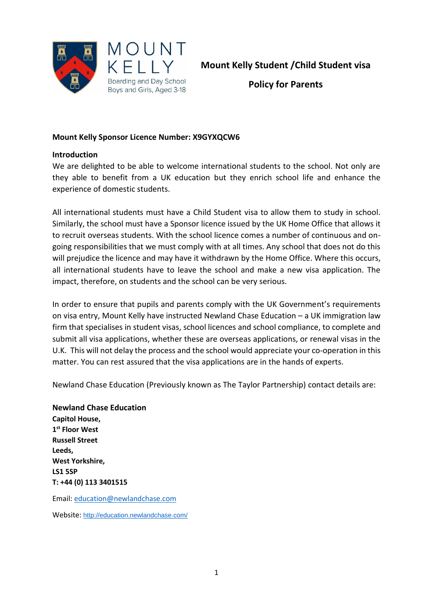

**Mount Kelly Student /Child Student visa**

**Policy for Parents**

### **Mount Kelly Sponsor Licence Number: X9GYXQCW6**

#### **Introduction**

We are delighted to be able to welcome international students to the school. Not only are they able to benefit from a UK education but they enrich school life and enhance the experience of domestic students.

All international students must have a Child Student visa to allow them to study in school. Similarly, the school must have a Sponsor licence issued by the UK Home Office that allows it to recruit overseas students. With the school licence comes a number of continuous and ongoing responsibilities that we must comply with at all times. Any school that does not do this will prejudice the licence and may have it withdrawn by the Home Office. Where this occurs, all international students have to leave the school and make a new visa application. The impact, therefore, on students and the school can be very serious.

In order to ensure that pupils and parents comply with the UK Government's requirements on visa entry, Mount Kelly have instructed Newland Chase Education – a UK immigration law firm that specialises in student visas, school licences and school compliance, to complete and submit all visa applications, whether these are overseas applications, or renewal visas in the U.K. This will not delay the process and the school would appreciate your co-operation in this matter. You can rest assured that the visa applications are in the hands of experts.

Newland Chase Education (Previously known as The Taylor Partnership) contact details are:

# **Newland Chase Education**

**Capitol House, [1](x-apple-data-detectors://3/0) [st](x-apple-data-detectors://3/0) [Floor West](x-apple-data-detectors://3/0) [Russell Street](x-apple-data-detectors://3/0) Leeds, West Yorkshire, [LS1 5SP](x-apple-data-detectors://3/0) T: [+44 \(0\) 113 3401515](tel:+44%20113%203401504)**

Email: [education@newlandchase.com](mailto:education@newlandchase.com)

Website: <http://education.newlandchase.com/>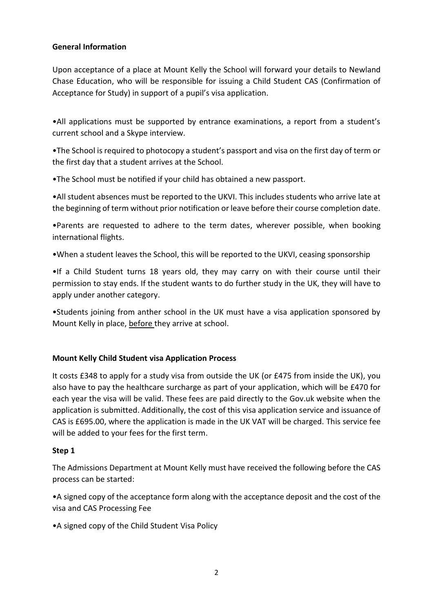## **General Information**

Upon acceptance of a place at Mount Kelly the School will forward your details to Newland Chase Education, who will be responsible for issuing a Child Student CAS (Confirmation of Acceptance for Study) in support of a pupil's visa application.

•All applications must be supported by entrance examinations, a report from a student's current school and a Skype interview.

•The School is required to photocopy a student's passport and visa on the first day of term or the first day that a student arrives at the School.

•The School must be notified if your child has obtained a new passport.

•All student absences must be reported to the UKVI. This includes students who arrive late at the beginning of term without prior notification or leave before their course completion date.

•Parents are requested to adhere to the term dates, wherever possible, when booking international flights.

•When a student leaves the School, this will be reported to the UKVI, ceasing sponsorship

•If a Child Student turns 18 years old, they may carry on with their course until their permission to stay ends. If the student wants to do further study in the UK, they will have to apply under another category.

•Students joining from anther school in the UK must have a visa application sponsored by Mount Kelly in place, before they arrive at school.

## **Mount Kelly Child Student visa Application Process**

It costs £348 to apply for a study visa from outside the UK (or £475 from inside the UK), you also have to pay the healthcare surcharge as part of your application, which will be £470 for each year the visa will be valid. These fees are paid directly to the Gov.uk website when the application is submitted. Additionally, the cost of this visa application service and issuance of CAS is £695.00, where the application is made in the UK VAT will be charged. This service fee will be added to your fees for the first term.

#### **Step 1**

The Admissions Department at Mount Kelly must have received the following before the CAS process can be started:

•A signed copy of the acceptance form along with the acceptance deposit and the cost of the visa and CAS Processing Fee

•A signed copy of the Child Student Visa Policy